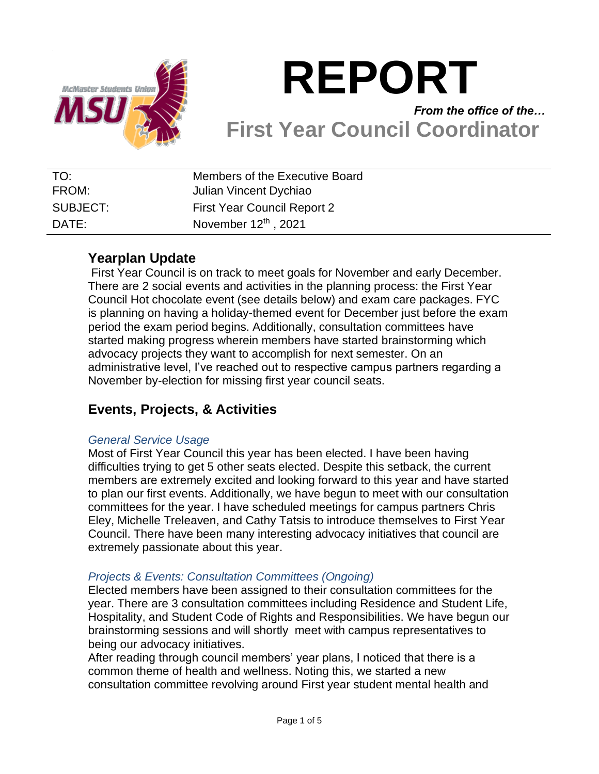

# **REPORT** *From the office of the…*

# **First Year Council Coordinator**

| TO:      | Members of the Executive Board     |
|----------|------------------------------------|
| FROM:    | Julian Vincent Dychiao             |
| SUBJECT: | <b>First Year Council Report 2</b> |
| DATE:    | November $12^{th}$ , 2021          |

## **Yearplan Update**

First Year Council is on track to meet goals for November and early December. There are 2 social events and activities in the planning process: the First Year Council Hot chocolate event (see details below) and exam care packages. FYC is planning on having a holiday-themed event for December just before the exam period the exam period begins. Additionally, consultation committees have started making progress wherein members have started brainstorming which advocacy projects they want to accomplish for next semester. On an administrative level, I've reached out to respective campus partners regarding a November by-election for missing first year council seats.

# **Events, Projects, & Activities**

### *General Service Usage*

Most of First Year Council this year has been elected. I have been having difficulties trying to get 5 other seats elected. Despite this setback, the current members are extremely excited and looking forward to this year and have started to plan our first events. Additionally, we have begun to meet with our consultation committees for the year. I have scheduled meetings for campus partners Chris Eley, Michelle Treleaven, and Cathy Tatsis to introduce themselves to First Year Council. There have been many interesting advocacy initiatives that council are extremely passionate about this year.

### *Projects & Events: Consultation Committees (Ongoing)*

Elected members have been assigned to their consultation committees for the year. There are 3 consultation committees including Residence and Student Life, Hospitality, and Student Code of Rights and Responsibilities. We have begun our brainstorming sessions and will shortly meet with campus representatives to being our advocacy initiatives.

After reading through council members' year plans, I noticed that there is a common theme of health and wellness. Noting this, we started a new consultation committee revolving around First year student mental health and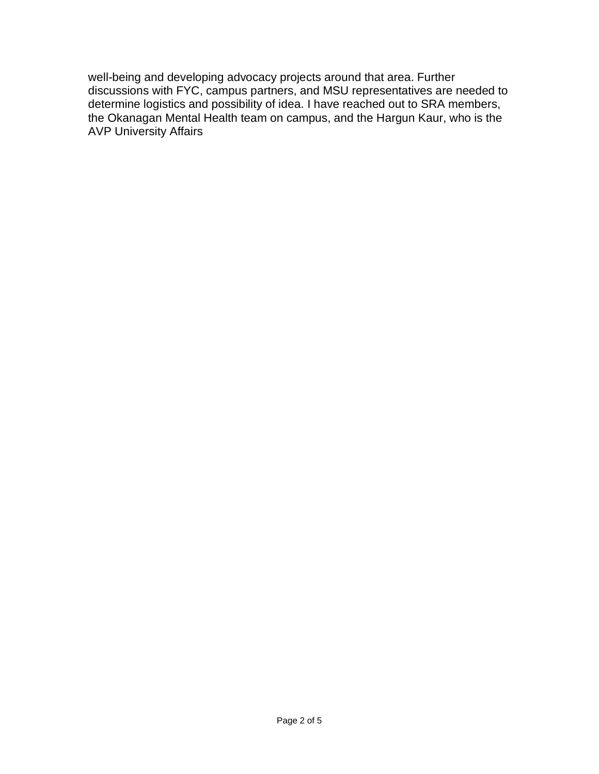well-being and developing advocacy projects around that area. Further discussions with FYC, campus partners, and MSU representatives are needed to determine logistics and possibility of idea. I have reached out to SRA members, the Okanagan Mental Health team on campus, and the Hargun Kaur, who is the AVP University Affairs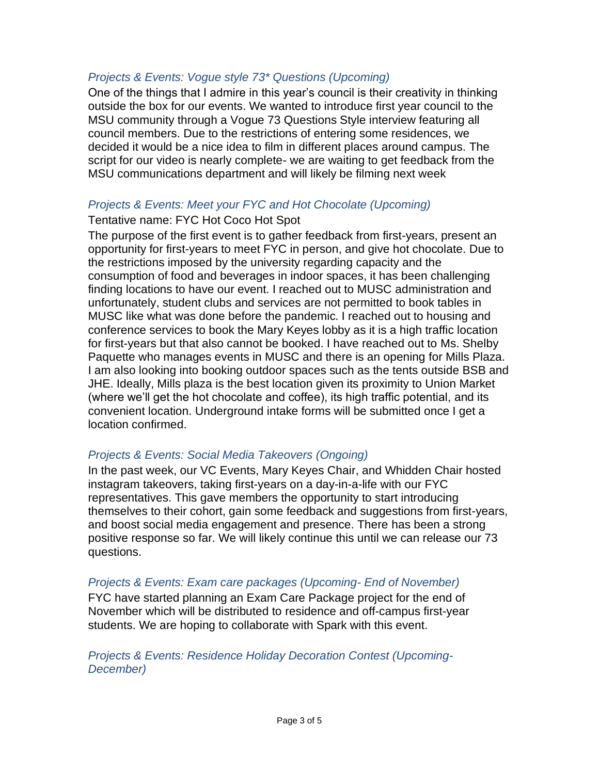#### *Projects & Events: Vogue style 73\* Questions (Upcoming)*

One of the things that I admire in this year's council is their creativity in thinking outside the box for our events. We wanted to introduce first year council to the MSU community through a Vogue 73 Questions Style interview featuring all council members. Due to the restrictions of entering some residences, we decided it would be a nice idea to film in different places around campus. The script for our video is nearly complete- we are waiting to get feedback from the MSU communications department and will likely be filming next week

#### *Projects & Events: Meet your FYC and Hot Chocolate (Upcoming)*

#### Tentative name: FYC Hot Coco Hot Spot

The purpose of the first event is to gather feedback from first-years, present an opportunity for first-years to meet FYC in person, and give hot chocolate. Due to the restrictions imposed by the university regarding capacity and the consumption of food and beverages in indoor spaces, it has been challenging finding locations to have our event. I reached out to MUSC administration and unfortunately, student clubs and services are not permitted to book tables in MUSC like what was done before the pandemic. I reached out to housing and conference services to book the Mary Keyes lobby as it is a high traffic location for first-years but that also cannot be booked. I have reached out to Ms. Shelby Paquette who manages events in MUSC and there is an opening for Mills Plaza. I am also looking into booking outdoor spaces such as the tents outside BSB and JHE. Ideally, Mills plaza is the best location given its proximity to Union Market (where we'll get the hot chocolate and coffee), its high traffic potential, and its convenient location. Underground intake forms will be submitted once I get a location confirmed.

#### *Projects & Events: Social Media Takeovers (Ongoing)*

In the past week, our VC Events, Mary Keyes Chair, and Whidden Chair hosted instagram takeovers, taking first-years on a day-in-a-life with our FYC representatives. This gave members the opportunity to start introducing themselves to their cohort, gain some feedback and suggestions from first-years, and boost social media engagement and presence. There has been a strong positive response so far. We will likely continue this until we can release our 73 questions.

#### *Projects & Events: Exam care packages (Upcoming- End of November)*

FYC have started planning an Exam Care Package project for the end of November which will be distributed to residence and off-campus first-year students. We are hoping to collaborate with Spark with this event.

*Projects & Events: Residence Holiday Decoration Contest (Upcoming-December)*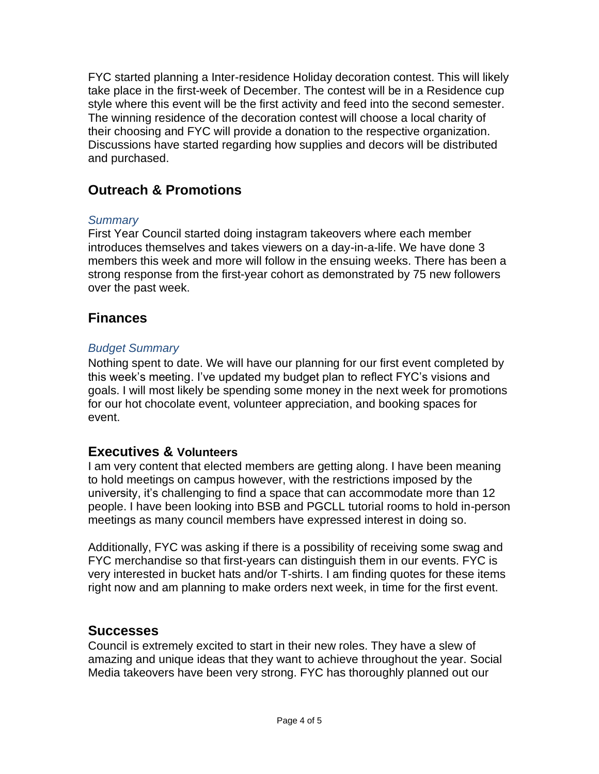FYC started planning a Inter-residence Holiday decoration contest. This will likely take place in the first-week of December. The contest will be in a Residence cup style where this event will be the first activity and feed into the second semester. The winning residence of the decoration contest will choose a local charity of their choosing and FYC will provide a donation to the respective organization. Discussions have started regarding how supplies and decors will be distributed and purchased.

# **Outreach & Promotions**

## *Summary*

First Year Council started doing instagram takeovers where each member introduces themselves and takes viewers on a day-in-a-life. We have done 3 members this week and more will follow in the ensuing weeks. There has been a strong response from the first-year cohort as demonstrated by 75 new followers over the past week.

## **Finances**

## *Budget Summary*

Nothing spent to date. We will have our planning for our first event completed by this week's meeting. I've updated my budget plan to reflect FYC's visions and goals. I will most likely be spending some money in the next week for promotions for our hot chocolate event, volunteer appreciation, and booking spaces for event.

## **Executives & Volunteers**

I am very content that elected members are getting along. I have been meaning to hold meetings on campus however, with the restrictions imposed by the university, it's challenging to find a space that can accommodate more than 12 people. I have been looking into BSB and PGCLL tutorial rooms to hold in-person meetings as many council members have expressed interest in doing so.

Additionally, FYC was asking if there is a possibility of receiving some swag and FYC merchandise so that first-years can distinguish them in our events. FYC is very interested in bucket hats and/or T-shirts. I am finding quotes for these items right now and am planning to make orders next week, in time for the first event.

## **Successes**

Council is extremely excited to start in their new roles. They have a slew of amazing and unique ideas that they want to achieve throughout the year. Social Media takeovers have been very strong. FYC has thoroughly planned out our